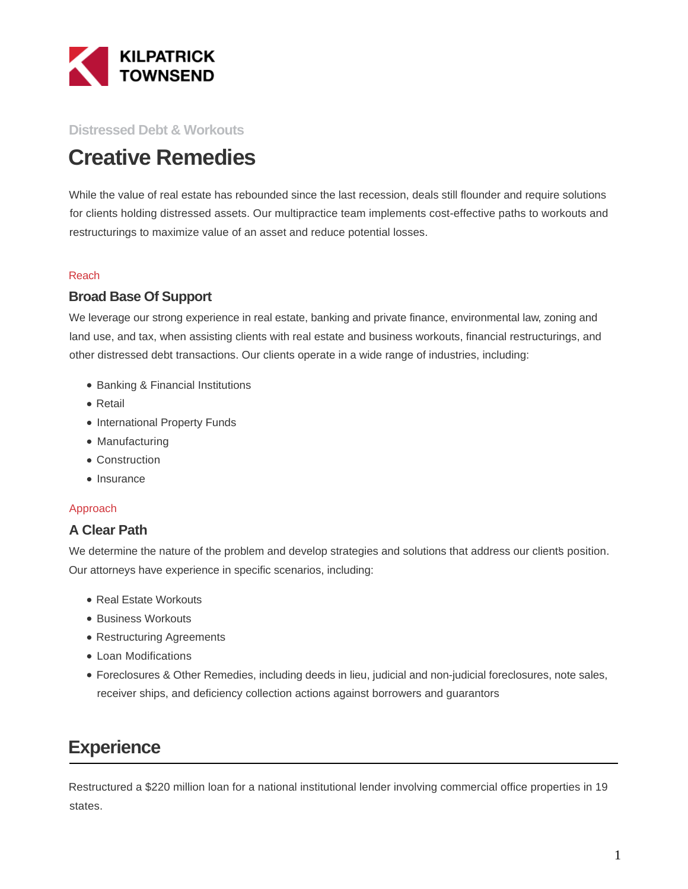

### **Distressed Debt & Workouts**

# **Creative Remedies**

While the value of real estate has rebounded since the last recession, deals still flounder and require solutions for clients holding distressed assets. Our multipractice team implements cost-effective paths to workouts and restructurings to maximize value of an asset and reduce potential losses.

#### Reach

### **Broad Base Of Support**

We leverage our strong experience in real estate, banking and private finance, environmental law, zoning and land use, and tax, when assisting clients with real estate and business workouts, financial restructurings, and other distressed debt transactions. Our clients operate in a wide range of industries, including:

- Banking & Financial Institutions
- Retail
- International Property Funds
- Manufacturing
- Construction
- Insurance

#### Approach

## **A Clear Path**

We determine the nature of the problem and develop strategies and solutions that address our clients position. Our attorneys have experience in specific scenarios, including:

- Real Estate Workouts
- Business Workouts
- Restructuring Agreements
- Loan Modifications
- Foreclosures & Other Remedies, including deeds in lieu, judicial and non-judicial foreclosures, note sales, receiver ships, and deficiency collection actions against borrowers and guarantors

# **Experience**

Restructured a \$220 million loan for a national institutional lender involving commercial office properties in 19 states.